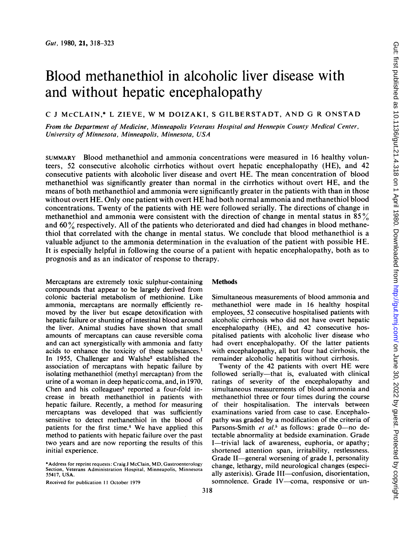# Blood methanethiol in alcoholic liver disease with and without hepatic encephalopathy

<sup>C</sup> <sup>J</sup> McCLAIN,\* <sup>L</sup> ZIEVE, W M DOIZAKI, <sup>S</sup> GILBERSTADT, AND G R ONSTAD

From the Department of Medicine, Minneapolis Veterans Hospital and Hennepin County Medical Center, University of Minnesota, Minneapolis, Minnesota, USA

SUMMARY Blood methanethiol and ammonia concentrations were measured in 16 healthy volunteers, 52 consecutive alcoholic cirrhotics without overt hepatic encephalopathy (HE), and 42 consecutive patients with alcoholic liver disease and overt HE. The mean concentration of blood methanethiol was significantly greater than normal in the cirrhotics without overt HE, and the means of both methanethiol and ammonia were significantly greater in the patients with than in those without overt HE. Only one patient with overt HE had both normal ammonia and methanethiol blood concentrations. Twenty of the patients with HE were followed serially. The directions of change in methanethiol and ammonia were consistent with the direction of change in mental status in  $85\%$ and  $60\%$  respectively. All of the patients who deteriorated and died had changes in blood methanethiol that correlated with the change in mental status. We conclude that blood methanethiol is <sup>a</sup> valuable adjunct to the ammonia determination in the evaluation of the patient with possible HE. It is especially helpful in following the course of a patient with hepatic encephalopathy, both as to prognosis and as an indicator of response to therapy.

Mercaptans are extremely toxic sulphur-containing compounds that appear to be largely derived from colonic bacterial metabolism of methionine. Like ammonia, mercaptans are normally efficiently removed by the liver but escape detoxification with hepatic failure or shunting of intestinal blood around the liver. Animal studies have shown that small amounts of mercaptans can cause reversible coma and can act synergistically with ammonia and fatty acids to enhance the toxicity of these substances.<sup>1</sup> In 1955, Challenger and Walshe2 established the association of mercaptans with hepatic failure by isolating methanethiol (methyl mercaptan) from the urine of a woman in deep hepatic coma, and, in 1970, Chen and his colleagues<sup>3</sup> reported a four-fold increase in breath methanethiol in patients with hepatic failure. Recently, a method for measuring mercaptans was developed that was sufficiently sensitive to detect methanethiol in the blood of patients for the first time.<sup>4</sup> We have applied this method to patients with hepatic failure over the past two years and are now reporting the results of this initial experience.

Received for publication 11 October 1979

#### Methods

Simultaneous measurements of blood ammonia and methanethiol were made in 16 healthy hospital employees, 52 consecutive hospitalised patients with alcoholic cirrhosis who did not have overt hepatic encephalopathy (HE), and 42 consecutive hospitalised patients with alcoholic liver disease who had overt encephalopathy. Of the latter patients with encephalopathy, all but four had cirrhosis, the remainder alcoholic hepatitis without cirrhosis.

Twenty of the <sup>42</sup> patients with overt HE were followed serially—that is, evaluated with clinical ratings of severity of the encephalopathy and simultaneous measurements of blood ammonia and methanethiol three or four times during the course of their hospitalisation. The intervals between examinations varied from case to case. Encephalopathy was graded by a modification of the criteria of Parsons-Smith et  $al$ <sup>5</sup> as follows: grade 0-no detectable abnormality at bedside examination. Grade I-trivial lack of awareness, euphoria, or apathy; shortened attention span, irritability, restlessness. Grade II—general worsening of grade I, personality change, lethargy, mild neurological changes (especially asterixis). Grade Ill-confusion, disorientation, somnolence. Grade IV-coma, responsive or un-

<sup>\*</sup>Address for reprint requests: Craig <sup>J</sup> McClain, MD, Gastroenterology Section, Veterans Administration Hospital, Minneapolis, Minnesota 55417, USA.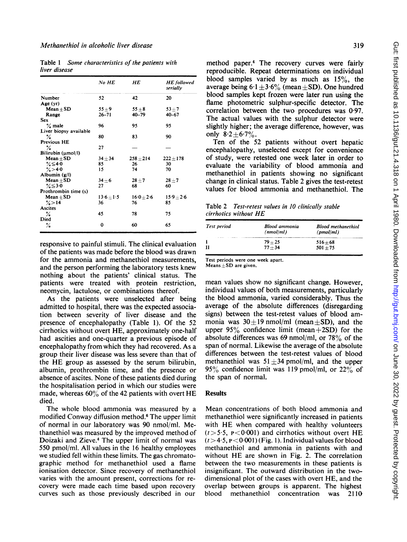Table 1 Some characteristics of the patients with liver disease

|                                | No HE        | НE            | <b>HE</b> followed<br>serially |
|--------------------------------|--------------|---------------|--------------------------------|
| Number                         | 52           | 42            | 20                             |
| Age (yr)                       |              |               |                                |
| $Mean \pm SD$                  | $55 + 9$     | $55 + 8$      | $53 - 7$                       |
| Range                          | $26 - 71$    | $40 - 79$     | $40 - 67$                      |
| <b>Sex</b>                     |              |               |                                |
| $%$ male                       | 96           | 95            | 95                             |
| Liver biopsy available         |              |               |                                |
| ℅                              | 80           | 83            | 90                             |
| Previous HE                    |              |               |                                |
| ℅                              | 27           |               |                                |
| Bilirubin $(\mu \text{mol/l})$ |              |               |                                |
| $Mean + SD$                    | $34 + 34$    | $258 \pm 214$ | $222 \pm 178$                  |
| $\% \leq 4.0$                  | 85           | 26            | 30                             |
| $\% > 4.0$                     | 15           | 74            | 70                             |
| Albumin (g/l)                  |              |               |                                |
| $Mean + SD$                    | $34 - 6$     | $28 + 7$      | $28 - 7$                       |
| $\% \leq 30$                   | 27           | 68            | 60                             |
| Prothrombin time (s)           |              |               |                                |
| $Mean + SD$                    | $13.6 - 1.5$ | $160 + 26$    | $159 - 26$                     |
| $\frac{9}{2}$ > 14             | 36           | 76            | 85                             |
| Ascites                        |              |               |                                |
| ℅                              | 45           | 78            | 75                             |
| Died                           |              |               |                                |
| ℅                              | 0            | 60            | 65                             |

responsive to painful stimuli. The clinical evaluation of the patients was made before the blood was drawn for the ammonia and methanethiol measurements, and the person performing the laboratory tests knew nothing about the patients' clinical status. The patients were treated with protein restriction, neomycin, lactulose, or combinations thereof.

As the patients were unselected after being admitted to hospital, there was the expected association between severity of liver disease and the presence of encephalopathy (Table 1). Of the 52 cirrhotics without overt HE, approximately one-half had ascities and one-quarter a previous episode of encephalopathy from which they had recovered. As a group their liver disease was less severe than that of the HE group as assessed by the serum bilirubin, albumin, prothrombin time, and the presence or absence of ascites. None of these patients died during the hospitalisation period in which our studies were made, whereas  $60\%$  of the 42 patients with overt HE died.

The whole blood ammonia was measured by a modified Conway diffusion method.6 The upper limit of normal in our laboratory was 90 nmol/ml. Methanethiol was measured by the improved method of Doizaki and Zieve.4 The upper limit of normal was 550 pmol/ml. All values in the 16 healthy employees we studied fell within these limits. The gas chromatographic method for methanethiol used a flame ionisation detector. Since recovery of methanethiol varies with the amount present, corrections for recovery were made each time based upon recovery curves such as those previously described in our

method paper.<sup>4</sup> The recovery curves were fairly reproducible. Repeat determinations on individual No HE HE followed blood samples varied by as much as  $15\%$ , the serially average being  $6.1 \pm 3.6\%$  (mean  $\pm$ SD). One hundred blood samples kept frozen were later run using the flame photometric sulphur-specific detector. The correlation between the two procedures was 0.97. The actual values with the sulphur detector were slightly higher; the average difference, however, was only  $8.2 \pm 6.7\%$ .

Ten of the 52 patients without overt hepatic encephalopathy, unselected except for convenience of study, were retested one week later in order to evaluate the variability of blood ammonia and methanethiol in patients showing no significant change in clinical status. Table 2 gives the test-retest values for blood ammonia and methanethiol. The

Table 2 Test-retest values in 10 clinically stable  $circhotics$  without  $HE$ 

| Test period | <b>Blood ammonia</b><br>(mmol/ml) | <b>Blood methanethiol</b><br>(pmol/ml) |
|-------------|-----------------------------------|----------------------------------------|
|             | $79 + 25$                         | $516 + 68$                             |
| и           | $77 + 34$                         | $501 + 75$                             |

Test periods were one week apart. Means $\pm$ SD are given.

mean values show no significant change. However, individual values of both measurements, particularly the blood ammonia, varied considerably. Thus the average of the absolute differences (disregarding signs) between the test-retest values of blood ammonia was  $30 \pm 19$  nmol/ml (mean $\pm$ SD), and the upper  $95\%$  confidence limit (mean+2SD) for the absolute differences was 69 nmol/ml, or 78% of the span of normal. Likewise the average of the absolute differences between the test-retest values of blood methanethiol was  $51 \pm 34$  pmol/ml, and the upper  $95\%$  confidence limit was 119 pmol/ml, or 22% of the span of normal.

## **Results**

Mean concentrations of both blood ammonia and methanethiol were significantly increased in patients with HE when compared with healthy volunteers  $(t>5.5, p<0.001)$  and cirrhotics without overt HE  $(t > 4.5, p < 0.001)$  (Fig. 1). Individual values for blood methanethiol and ammonia in patients with and without HE are shown in Fig. 2. The correlation between the two measurements in these patients is insignificant. The outward distribution in the twodimensional plot of the cases with overt HE, and the overlap between groups is apparent. The highest blood methanethiol concentration was 2110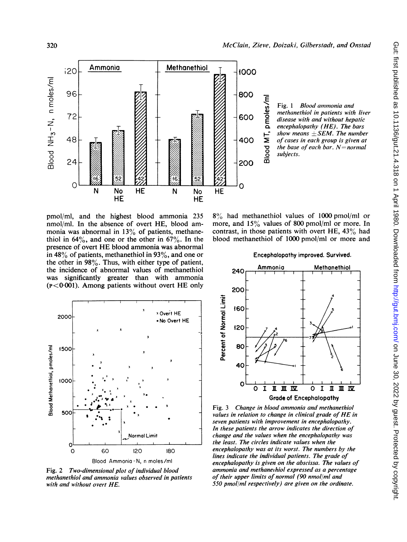

Fig. <sup>1</sup> Blood ammonia and methanethiol in patients with liver disease with and without hepatic encephalopathy (HE). The bars show means  $\pm$  SEM. The number of cases in each group is given at the base of each bar.  $N=normal$ subjects.

pmol/ml, and the highest blood ammonia 235 nmol/ml. In the absence of overt HE, blood ammonia was abnormal in 13% of patients, methanethiol in  $64\%$ , and one or the other in  $67\%$ . In the presence of overt HE blood ammonia was abnormal in 48% of patients, methanethiol in 93%, and one or the other in  $98\%$ . Thus, with either type of patient, the incidence of abnormal values of methanethiol was significantly greater than with ammonia  $(P<0.001)$ . Among patients without overt HE only



Fig. 2 Two-dimensional plot of individual blood methanethiol and ammonia values observed in patients with and without overt HE.

 $8\%$  had methanethiol values of 1000 pmol/ml or more, and 15% values of 800 pmol/ml or more. In contrast, in those patients with overt HE,  $43\%$  had blood methanethiol of 1000 pmol/ml or more and



Fig. <sup>3</sup> Change in blood ammonia and methanethiol values in relation to change in clinical grade of HE in seven patients with improvement in encephalopathy. In these patients the arrow indicates the direction of change and the values when the encephalopathy was the least. The circles indicate values when the encephalopathy was at its worst. The numbers by the lines indicate the individual patients. The grade of encephalopathy is given on the abscissa. The values of ammonia and methanethiol expressed as a percentage of their upper limits of normal (90 nmol/ml and 550 pmol/ml respectively) are given on the ordinate.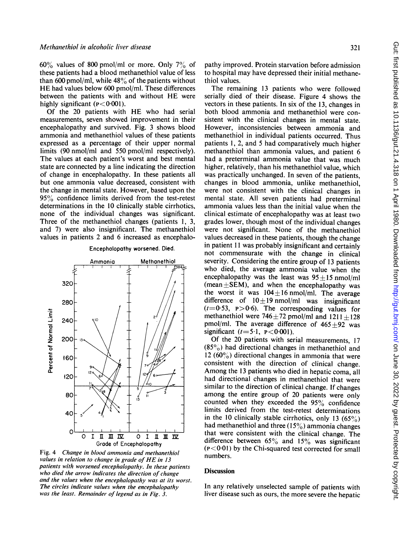$60\%$  values of 800 pmol/ml or more. Only  $7\%$  of these patients had a blood methanethiol value of less than 600 pmol/ml, while  $48\%$  of the patients without HE had values below <sup>600</sup> pmol/ml. These differences between the patients with and without HE were highly significant ( $p < 0.001$ ).

Of the <sup>20</sup> patients with HE who had serial measurements, seven showed improvement in their encephalopathy and survived. Fig. 3 shows blood ammonia and methanethiol values of these patients expressed as a percentage of their upper normal limits (90 nmol/ml and 550 pmol/ml respectively). The values at each patient's worst and best mental state are connected by a line indicating the direction of change in encephalopathy. In these patients all but one ammonia value decreased, consistent with the change in mental state. However, based upon the 95% confidence limits derived from the test-retest determinations in the 10 clinically stable cirrhotics, none of the individual changes was significant. Three of the methanethiol changes (patients 1, 3, and 7) were also insignificant. The methanethiol values in patients 2 and 6 increased as encephalo-

#### Encepholopathy worsened. Died.



Fig. 4 Change in blood ammonia and methanethiol values in relation to change in grade of HE in <sup>13</sup> patients with worsened encephalopathy. In these patients who died the arrow indicates the direction of change and the values when the encephalopathy was at its worst. The circles indicate values when the encephalopathy was the least. Remainder of legend as in Fig. 3.

pathy improved. Protein starvation before admission to hospital may have depressed their initial methanethiol values.

The remaining 13 patients who were followed serially died of their disease. Figure 4 shows the vectors in these patients. In six of the 13, changes in both blood ammonia and methanethiol were consistent with the clinical changes in mental state. However, inconsistencies between ammonia and methanethiol in individual patients occurred. Thus patients 1, 2, and <sup>5</sup> had comparatively much higher methanethiol than ammonia values, and patient 6 had a preterminal ammonia value that was much higher, relatively, than his methanethiol value, which was practically unchanged. In seven of the patients, changes in blood ammonia, unlike methanethiol, were not consistent with the clinical changes in mental state. All seven patients had preterminal ammonia values less than the initial value when the clinical estimate of encephalopathy was at least two grades lower, though most of the individual changes were not significant. None of the methanethiol values decreased in these patients, though the change in patient <sup>11</sup> was probably insignificant and certainly not commensurate with the change in clinical severity. Considering the entire group of 13 patients who died, the average ammonia value when the encephalopathy was the least was  $95 \pm 15$  nmol/ml (mean $\pm$ SEM), and when the encephalopathy was the worst it was  $104 \pm 16$  nmol/ml. The average difference of  $10 \pm 19$  nmol/ml was insignificant  $(t=0.53, P>0.6)$ . The corresponding values for methanethiol were 746 $\pm$ 72 pmol/ml and 1211 $\pm$ 128 pmol/ml. The average difference of  $465 \pm 92$  was significant  $(t=5.1, \text{ p} < 0.001)$ .

Of the 20 patients with serial measurements, <sup>17</sup> (85°') had directional changes in methanethiol and 12 ( $60\%$ ) directional changes in ammonia that were consistent with the direction of clinical change. Among the <sup>13</sup> patients who died in hepatic coma, all had directional changes in methanethiol that were similar to the direction of clinical change. If changes among the entire group of 20 patients were only counted when they exceeded the 95% confidence limits derived from the test-retest determinations in the 10 clinically stable cirrhotics, only 13  $(65\%)$ had methanethiol and three  $(15\%)$  ammonia changes that were consistent with the clinical change. The difference between 65% and 15% was significant  $(P<0.01)$  by the Chi-squared test corrected for small numbers.

#### **Discussion**

In any relatively unselected sample of patients with liver disease such as ours, the more severe the hepatic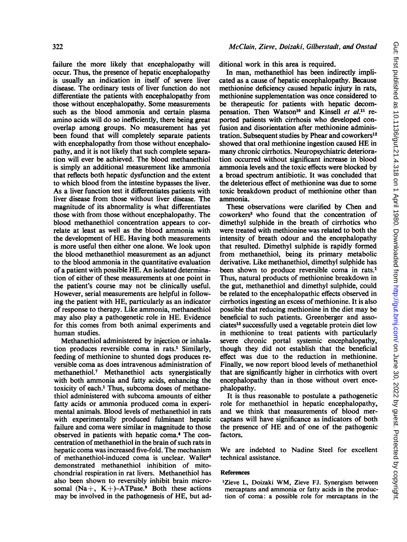failure the more likely that encephalopathy will occur. Thus, the presence of hepatic encephalopathy is usually an indication in itself of severe liver disease. The ordinary tests of liver function do not differentiate the patients with encephalopathy from those without encephalopathy. Some measurements such as the blood ammonia and certain plasma amino acids will do so inefficiently, there being great overlap among groups. No measurement has yet been found that will completely separate patients with encephalopathy from those without encephalopathy, and it is not likely that such complete separation will ever be achieved. The blood methanethiol is simply an additional measurement like ammonia that reflects both hepatic dysfunction and the extent to which blood from the intestine bypasses the liver. As a liver function test it differentiates patients with liver disease from those without liver disease. The magnitude of its abnormality is what differentiates those with from those without encephalopathy. The blood methanethiol concentration appears to correlate at least as well as the blood ammonia with the development of HE. Having both measurements is more useful then either one alone. We look upon the blood methanethiol measurement as an adjunct to the blood ammonia in the quantitative evaluation of a patient with possible HE. An isolated determination of either of these measurements at one point in the patient's course may not be clinically useful. However, serial measurements are helpful in following the patient with HE, particularly as an indicator of response to therapy. Like ammonia, methanethiol may also play a pathogenetic role in HE. Evidence for this comes from both animal experiments and human studies.

Methanethiol administered by injection or inhalation produces reversible coma in rats.' Similarly, feeding of methionine to shunted dogs produces reversible coma as does intravenous administration of methanethiol.7 Methanethiol acts synergistically with both ammonia and fatty acids, enhancing the toxicity of each.' Thus, subcoma doses of methanethiol administered with subcoma amounts of either fatty acids or ammonia produced coma in experimental animals. Blood levels of methanethiol in rats with experimentally produced fulminant hepatic failure and coma were similar in magnitude to those observed in patients with hepatic coma.' The concentration of methanethiol in the brain of such rats in hepatic coma was increased five-fold. The mechanism of methanethiol-induced coma is unclear. Waller<sup>8</sup> demonstrated methanethiol inhibition of mitochondrial respiration in rat livers. Methanethiol has also been shown to reversibly inhibit brain microsomal (Na+, K+)-ATPase.<sup>9</sup> Both these actions may be involved in the pathogenesis of HE, but additional work in this area is required.

In man, methanethiol has been. indirectly implicated as a cause of hepatic encephalopathy. Because methionine deficiency caused hepatic injury in rats, methionine supplementation was once considered to be therapeutic for patients with hepatic decompensation. Then Watson<sup>10</sup> and Kinsell et  $al$ <sup>11</sup> reported patients with cirrhosis who developed confusion and disorientation after methionine administration. Subsequent studies by Phear and coworkers'2 showed that oral methionine ingestion caused HE in many chronic cirrhotics. Neuropsychiatric deterioration occurred without significant increase in blood ammonia levels and the toxic effects were blocked by a broad spectrum antibiotic. It was concluded that the deleterious effect of methionine was due to some toxic breakdown product of methionine other than ammonia.

These observations were clarified by Chen and coworkers3 who found that the concentration of dimethyl sulphide in the breath of cirrhotics who were treated with methionine was related to both the intensity of breath odour and the encephalopathy that resulted. Dimethyl sulphide is rapidly formed from methanethiol, being its primary metabolic derivative. Like methanethiol, dimethyl sulphide has been shown to produce reversible coma in rats.<sup>1</sup> Thus, natural products of methionine breakdown in the gut, methanethiol and dimethyl sulphide, could be related to the encephalopathic effects observed in cirrhotics ingesting an excess of methionine. It is also possible that reducing methionine in the diet may be beneficial to such patients. Greenberger and associates<sup>13</sup> successfully used a vegetable protein diet low in methionine to treat patients with particularly severe chronic portal systemic encephalopathy, though they did not establish that the beneficial effect was due to the reduction in methionine. Finally, we now report blood levels of methanethiol that are significantly higher in cirrhotics with overt encephalopathy than in those without overt encephalopathy.

It is thus reasonable to postulate a pathogenetic role for methanethiol in hepatic encephalopathy, and we think that measurements of blood mercaptans will have significance as indicators of both the presence of HE and of one of the pathogenic factors.

We are indebted to Nadine Steel for excellent technical assistance.

### References

'Zieve L, Doizaki WM, Zieve FJ. Synergism between mercaptans and ammonia or fatty acids in the production of coma: a possible role for mercaptans in the